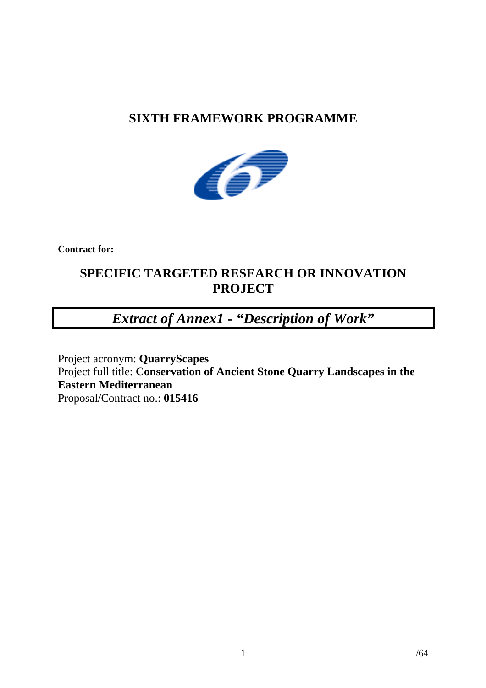## **SIXTH FRAMEWORK PROGRAMME**



**Contract for:**

## **SPECIFIC TARGETED RESEARCH OR INNOVATION PROJECT**

# *Extract of Annex1 - "Description of Work"*

Project acronym: **QuarryScapes** Project full title: **Conservation of Ancient Stone Quarry Landscapes in the Eastern Mediterranean** Proposal/Contract no.: **015416**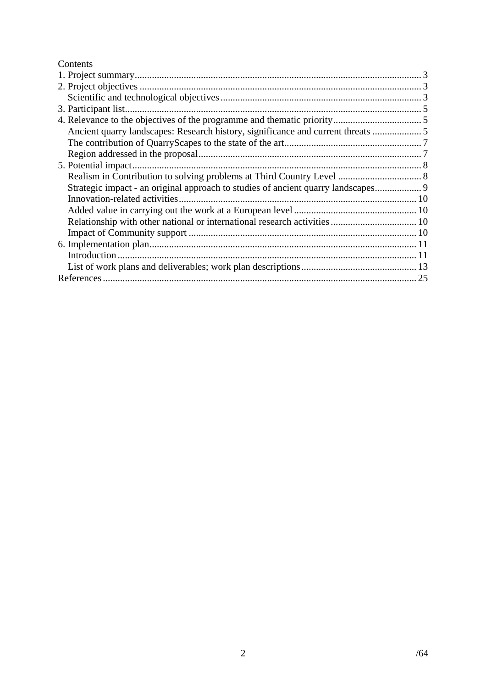## Contents

| Ancient quarry landscapes: Research history, significance and current threats  5 |  |
|----------------------------------------------------------------------------------|--|
|                                                                                  |  |
|                                                                                  |  |
|                                                                                  |  |
|                                                                                  |  |
| Strategic impact - an original approach to studies of ancient quarry landscapes  |  |
|                                                                                  |  |
|                                                                                  |  |
|                                                                                  |  |
|                                                                                  |  |
|                                                                                  |  |
|                                                                                  |  |
|                                                                                  |  |
|                                                                                  |  |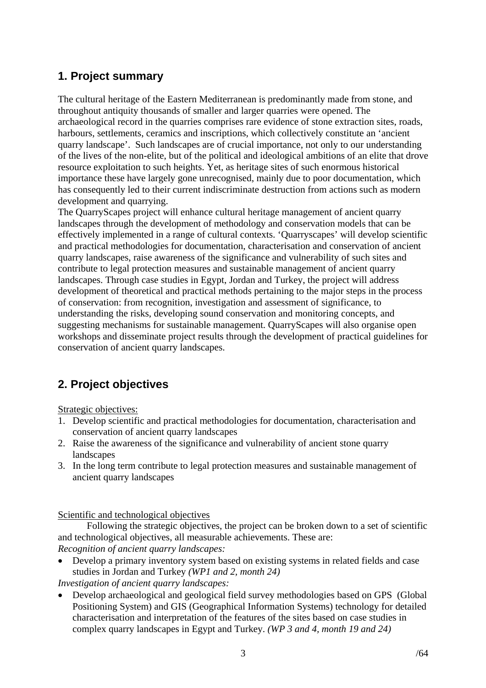## <span id="page-2-0"></span>**1. Project summary**

The cultural heritage of the Eastern Mediterranean is predominantly made from stone, and throughout antiquity thousands of smaller and larger quarries were opened. The archaeological record in the quarries comprises rare evidence of stone extraction sites, roads, harbours, settlements, ceramics and inscriptions, which collectively constitute an 'ancient quarry landscape'. Such landscapes are of crucial importance, not only to our understanding of the lives of the non-elite, but of the political and ideological ambitions of an elite that drove resource exploitation to such heights. Yet, as heritage sites of such enormous historical importance these have largely gone unrecognised, mainly due to poor documentation, which has consequently led to their current indiscriminate destruction from actions such as modern development and quarrying.

The QuarryScapes project will enhance cultural heritage management of ancient quarry landscapes through the development of methodology and conservation models that can be effectively implemented in a range of cultural contexts. 'Quarryscapes' will develop scientific and practical methodologies for documentation, characterisation and conservation of ancient quarry landscapes, raise awareness of the significance and vulnerability of such sites and contribute to legal protection measures and sustainable management of ancient quarry landscapes. Through case studies in Egypt, Jordan and Turkey, the project will address development of theoretical and practical methods pertaining to the major steps in the process of conservation: from recognition, investigation and assessment of significance, to understanding the risks, developing sound conservation and monitoring concepts, and suggesting mechanisms for sustainable management. QuarryScapes will also organise open workshops and disseminate project results through the development of practical guidelines for conservation of ancient quarry landscapes.

## **2. Project objectives**

Strategic objectives:

- 1. Develop scientific and practical methodologies for documentation, characterisation and conservation of ancient quarry landscapes
- 2. Raise the awareness of the significance and vulnerability of ancient stone quarry landscapes
- 3. In the long term contribute to legal protection measures and sustainable management of ancient quarry landscapes

Scientific and technological objectives

Following the strategic objectives, the project can be broken down to a set of scientific and technological objectives, all measurable achievements. These are: *Recognition of ancient quarry landscapes:* 

• Develop a primary inventory system based on existing systems in related fields and case studies in Jordan and Turkey *(WP1 and 2, month 24)*

*Investigation of ancient quarry landscapes:* 

• Develop archaeological and geological field survey methodologies based on GPS (Global Positioning System) and GIS (Geographical Information Systems) technology for detailed characterisation and interpretation of the features of the sites based on case studies in complex quarry landscapes in Egypt and Turkey. *(WP 3 and 4, month 19 and 24)*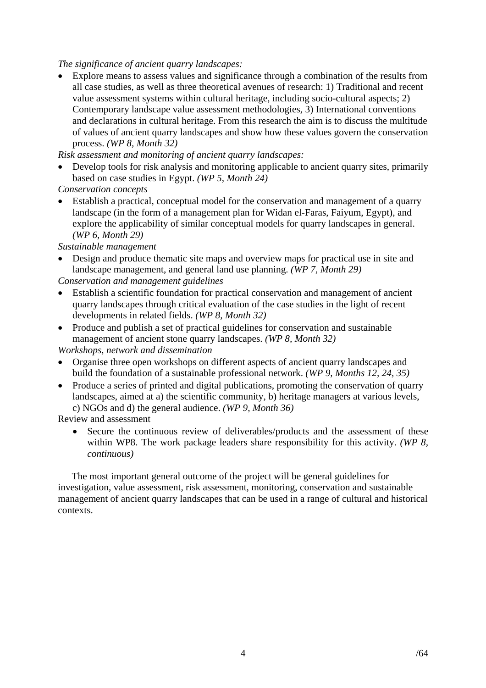*The significance of ancient quarry landscapes:* 

• Explore means to assess values and significance through a combination of the results from all case studies, as well as three theoretical avenues of research: 1) Traditional and recent value assessment systems within cultural heritage, including socio-cultural aspects; 2) Contemporary landscape value assessment methodologies, 3) International conventions and declarations in cultural heritage. From this research the aim is to discuss the multitude of values of ancient quarry landscapes and show how these values govern the conservation process. *(WP 8, Month 32)*

*Risk assessment and monitoring of ancient quarry landscapes:* 

• Develop tools for risk analysis and monitoring applicable to ancient quarry sites, primarily based on case studies in Egypt. *(WP 5, Month 24)*

*Conservation concepts* 

• Establish a practical, conceptual model for the conservation and management of a quarry landscape (in the form of a management plan for Widan el-Faras, Faiyum, Egypt), and explore the applicability of similar conceptual models for quarry landscapes in general. *(WP 6, Month 29)*

*Sustainable management* 

• Design and produce thematic site maps and overview maps for practical use in site and landscape management, and general land use planning. *(WP 7, Month 29)*

*Conservation and management guidelines* 

- Establish a scientific foundation for practical conservation and management of ancient quarry landscapes through critical evaluation of the case studies in the light of recent developments in related fields. *(WP 8, Month 32)*
- Produce and publish a set of practical guidelines for conservation and sustainable management of ancient stone quarry landscapes. *(WP 8, Month 32)*

*Workshops, network and dissemination* 

- Organise three open workshops on different aspects of ancient quarry landscapes and build the foundation of a sustainable professional network. *(WP 9, Months 12, 24, 35)*
- Produce a series of printed and digital publications, promoting the conservation of quarry landscapes, aimed at a) the scientific community, b) heritage managers at various levels, c) NGOs and d) the general audience. *(WP 9, Month 36)*

Review and assessment

• Secure the continuous review of deliverables/products and the assessment of these within WP8. The work package leaders share responsibility for this activity. *(WP 8, continuous)* 

The most important general outcome of the project will be general guidelines for investigation, value assessment, risk assessment, monitoring, conservation and sustainable management of ancient quarry landscapes that can be used in a range of cultural and historical contexts.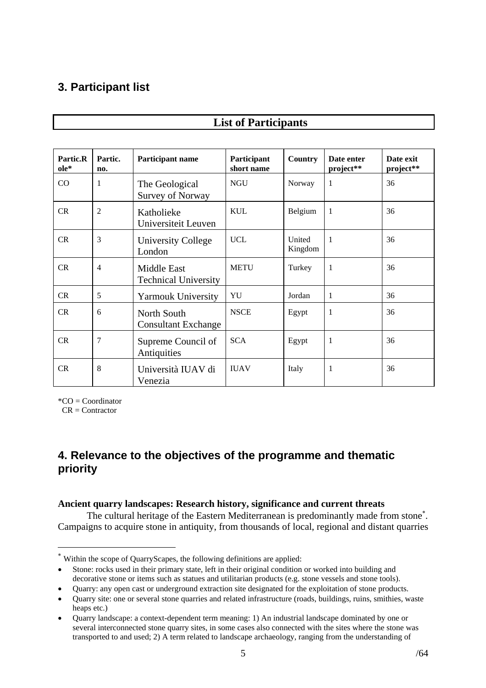## <span id="page-4-0"></span>**3. Participant list**

| Partic.R<br>ole* | Partic.<br>no. | Participant name                                  | Participant<br>short name | <b>Country</b>    | Date enter<br>project** | Date exit<br>project** |
|------------------|----------------|---------------------------------------------------|---------------------------|-------------------|-------------------------|------------------------|
| CO               | $\mathbf{1}$   | The Geological<br><b>Survey of Norway</b>         | <b>NGU</b>                | Norway            | 1                       | 36                     |
| CR               | $\overline{2}$ | Katholieke<br>Universiteit Leuven                 | <b>KUL</b>                | Belgium           | 1                       | 36                     |
| CR               | 3              | <b>University College</b><br>London               | <b>UCL</b>                | United<br>Kingdom | 1                       | 36                     |
| CR               | $\overline{4}$ | <b>Middle East</b><br><b>Technical University</b> | <b>METU</b>               | Turkey            | 1                       | 36                     |
| CR               | 5              | <b>Yarmouk University</b>                         | YU                        | Jordan            | 1                       | 36                     |
| CR               | 6              | North South<br><b>Consultant Exchange</b>         | <b>NSCE</b>               | Egypt             | 1                       | 36                     |
| CR               | $\overline{7}$ | Supreme Council of<br>Antiquities                 | <b>SCA</b>                | Egypt             | 1                       | 36                     |
| CR               | 8              | Università IUAV di<br>Venezia                     | <b>IIIAV</b>              | Italy             | 1                       | 36                     |

## **List of Participants**

 $^*CO = Coordinator$ 

 $CR =$  Contractor

 $\overline{a}$ 

## **4. Relevance to the objectives of the programme and thematic priority**

#### **Ancient quarry landscapes: Research history, significance and current threats**

The cultural heritage of the Eastern Mediterranean is predominantly made from stone<sup>\*</sup>. Campaigns to acquire stone in antiquity, from thousands of local, regional and distant quarries

<span id="page-4-1"></span><sup>∗</sup> Within the scope of QuarryScapes, the following definitions are applied:

<sup>•</sup> Stone: rocks used in their primary state, left in their original condition or worked into building and decorative stone or items such as statues and utilitarian products (e.g. stone vessels and stone tools).

<sup>•</sup> Quarry: any open cast or underground extraction site designated for the exploitation of stone products.

<sup>•</sup> Quarry site: one or several stone quarries and related infrastructure (roads, buildings, ruins, smithies, waste heaps etc.)

<sup>•</sup> Quarry landscape: a context-dependent term meaning: 1) An industrial landscape dominated by one or several interconnected stone quarry sites, in some cases also connected with the sites where the stone was transported to and used; 2) A term related to landscape archaeology, ranging from the understanding of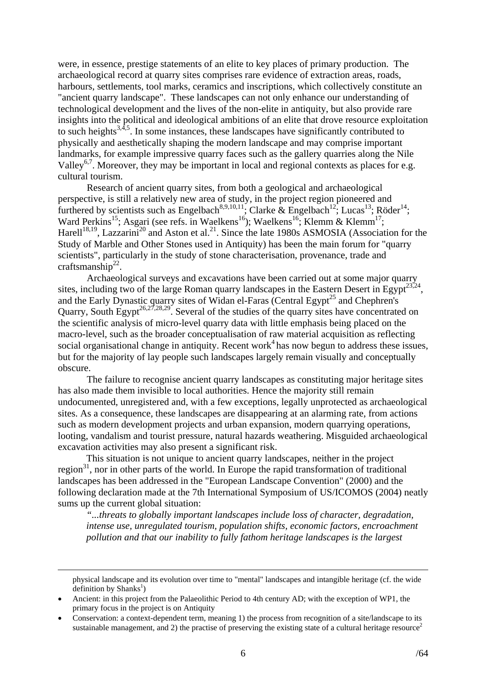were, in essence, prestige statements of an elite to key places of primary production. The archaeological record at quarry sites comprises rare evidence of extraction areas, roads, harbours, settlements, tool marks, ceramics and inscriptions, which collectively constitute an "ancient quarry landscape". These landscapes can not only enhance our understanding of technological development and the lives of the non-elite in antiquity, but also provide rare insights into the political and ideological ambitions of an elite that drove resource exploitation to such heights<sup>3,4,5</sup>. In some instances, these landscapes have significantly contributed to physically and aesthetically shaping the modern landscape and may comprise important landmarks, for example impressive quarry faces such as the gallery quarries along the Nile Valley<sup>6,7</sup>. Moreover, they may be important in local and regional contexts as places for e.g. cultural tourism.

Research of ancient quarry sites, from both a geological and archaeological perspective, is still a relatively new area of study, in the project region pioneered and furthered by scientists such as Engelbach<sup>8,9,10,11</sup>; Clarke & Engelbach<sup>12</sup>; Lucas<sup>13</sup>; Röder<sup>14</sup>; Ward Perkins<sup>15</sup>; Asgari (see refs. in Waelkens<sup>16</sup>); Waelkens<sup>16</sup>; Klemm & Klemm<sup>17</sup>; Harell<sup>18,19</sup>, Lazzarini<sup>20</sup> and Aston et al.<sup>21</sup>. Since the late 1980s ASMOSIA (Association for the Study of Marble and Other Stones used in Antiquity) has been the main forum for "quarry scientists", particularly in the study of stone characterisation, provenance, trade and craftsmanship<sup>22</sup>.

Archaeological surveys and excavations have been carried out at some major quarry sites, including two of the large Roman quarry landscapes in the Eastern Desert in Egypt<sup>23,24</sup>. and the Early Dynastic quarry sites of Widan el-Faras (Central Egypt<sup>25</sup> and Chephren's Quarry, South Egypt<sup>26,27,28,29</sup>. Several of the studies of the quarry sites have concentrated on the scientific analysis of micro-level quarry data with little emphasis being placed on the macro-level, such as the broader conceptualisation of raw material acquisition as reflecting social organisational change in antiquity. Recent work<sup>4</sup> has now begun to address these issues, but for the majority of lay people such landscapes largely remain visually and conceptually obscure.

The failure to recognise ancient quarry landscapes as constituting major heritage sites has also made them invisible to local authorities. Hence the majority still remain undocumented, unregistered and, with a few exceptions, legally unprotected as archaeological sites. As a consequence, these landscapes are disappearing at an alarming rate, from actions such as modern development projects and urban expansion, modern quarrying operations, looting, vandalism and tourist pressure, natural hazards weathering. Misguided archaeological excavation activities may also present a significant risk.

This situation is not unique to ancient quarry landscapes, neither in the project region $31$ , nor in other parts of the world. In Europe the rapid transformation of traditional landscapes has been addressed in the "European Landscape Convention" (2000) and the following declaration made at the 7th International Symposium of US/ICOMOS (2004) neatly sums up the current global situation:

 *"...threats to globally important landscapes include loss of character, degradation, intense use, unregulated tourism, population shifts, economic factors, encroachment pollution and that our inability to fully fathom heritage landscapes is the largest* 

physical landscape and its evolution over time to "mental" landscapes and intangible heritage (cf. the wide definition by  $Shanks<sup>1</sup>$ )

<sup>•</sup> Ancient: in this project from the Palaeolithic Period to 4th century AD; with the exception of WP1, the primary focus in the project is on Antiquity

<sup>•</sup> Conservation: a context-dependent term, meaning 1) the process from recognition of a site/landscape to its sustainable management, and 2) the practise of preserving the existing state of a cultural heritage resource<sup>2</sup>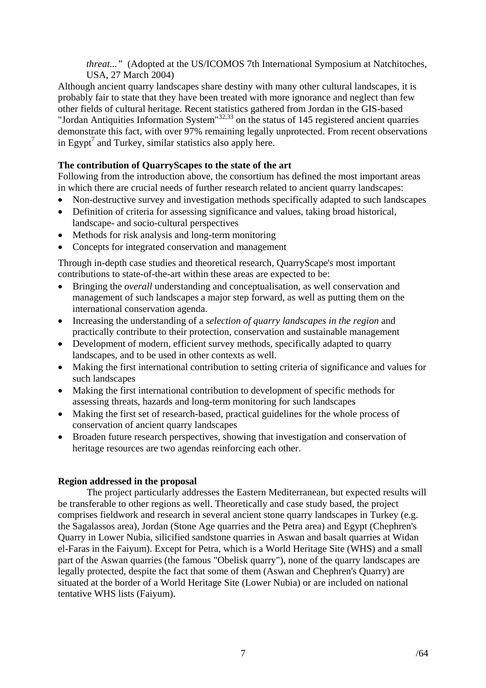*threat..."* (Adopted at the US/ICOMOS 7th International Symposium at Natchitoches, USA, 27 March 2004)

<span id="page-6-0"></span>Although ancient quarry landscapes share destiny with many other cultural landscapes, it is probably fair to state that they have been treated with more ignorance and neglect than few other fields of cultural heritage. Recent statistics gathered from Jordan in the GIS-based "Jordan Antiquities Information System"<sup>32,33</sup> on the status of 145 registered ancient quarries demonstrate this fact, with over 97% remaining legally unprotected. From recent observations in Egypt<sup>7</sup> and Turkey, similar statistics also apply here.

## **The contribution of QuarryScapes to the state of the art**

Following from the introduction above, the consortium has defined the most important areas in which there are crucial needs of further research related to ancient quarry landscapes:

- Non-destructive survey and investigation methods specifically adapted to such landscapes
- Definition of criteria for assessing significance and values, taking broad historical, landscape- and socio-cultural perspectives
- Methods for risk analysis and long-term monitoring
- Concepts for integrated conservation and management

Through in-depth case studies and theoretical research, QuarryScape's most important contributions to state-of-the-art within these areas are expected to be:

- Bringing the *overall* understanding and conceptualisation, as well conservation and management of such landscapes a major step forward, as well as putting them on the international conservation agenda.
- Increasing the understanding of a *selection of quarry landscapes in the region* and practically contribute to their protection, conservation and sustainable management
- Development of modern, efficient survey methods, specifically adapted to quarry landscapes, and to be used in other contexts as well.
- Making the first international contribution to setting criteria of significance and values for such landscapes
- Making the first international contribution to development of specific methods for assessing threats, hazards and long-term monitoring for such landscapes
- Making the first set of research-based, practical guidelines for the whole process of conservation of ancient quarry landscapes
- Broaden future research perspectives, showing that investigation and conservation of heritage resources are two agendas reinforcing each other.

#### **Region addressed in the proposal**

The project particularly addresses the Eastern Mediterranean, but expected results will be transferable to other regions as well. Theoretically and case study based, the project comprises fieldwork and research in several ancient stone quarry landscapes in Turkey (e.g. the Sagalassos area), Jordan (Stone Age quarries and the Petra area) and Egypt (Chephren's Quarry in Lower Nubia, silicified sandstone quarries in Aswan and basalt quarries at Widan el-Faras in the Faiyum). Except for Petra, which is a World Heritage Site (WHS) and a small part of the Aswan quarries (the famous "Obelisk quarry"), none of the quarry landscapes are legally protected, despite the fact that some of them (Aswan and Chephren's Quarry) are situated at the border of a World Heritage Site (Lower Nubia) or are included on national tentative WHS lists (Faiyum).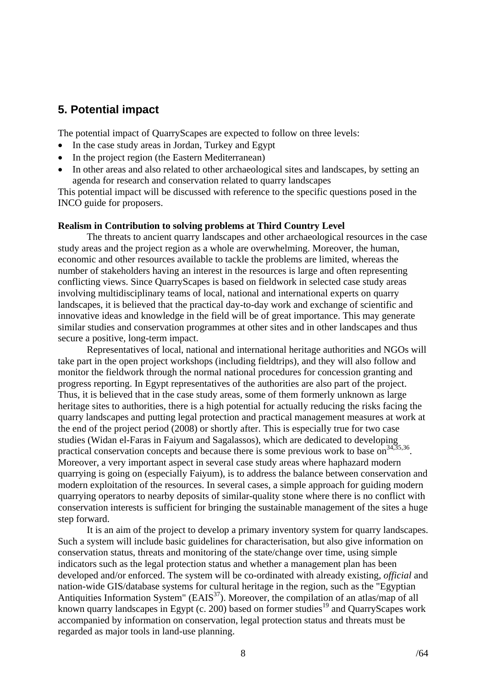## <span id="page-7-0"></span>**5. Potential impact**

The potential impact of QuarryScapes are expected to follow on three levels:

- In the case study areas in Jordan, Turkey and Egypt
- In the project region (the Eastern Mediterranean)
- In other areas and also related to other archaeological sites and landscapes, by setting an agenda for research and conservation related to quarry landscapes

This potential impact will be discussed with reference to the specific questions posed in the INCO guide for proposers.

#### **Realism in Contribution to solving problems at Third Country Level**

The threats to ancient quarry landscapes and other archaeological resources in the case study areas and the project region as a whole are overwhelming. Moreover, the human, economic and other resources available to tackle the problems are limited, whereas the number of stakeholders having an interest in the resources is large and often representing conflicting views. Since QuarryScapes is based on fieldwork in selected case study areas involving multidisciplinary teams of local, national and international experts on quarry landscapes, it is believed that the practical day-to-day work and exchange of scientific and innovative ideas and knowledge in the field will be of great importance. This may generate similar studies and conservation programmes at other sites and in other landscapes and thus secure a positive, long-term impact.

Representatives of local, national and international heritage authorities and NGOs will take part in the open project workshops (including fieldtrips), and they will also follow and monitor the fieldwork through the normal national procedures for concession granting and progress reporting. In Egypt representatives of the authorities are also part of the project. Thus, it is believed that in the case study areas, some of them formerly unknown as large heritage sites to authorities, there is a high potential for actually reducing the risks facing the quarry landscapes and putting legal protection and practical management measures at work at the end of the project period (2008) or shortly after. This is especially true for two case studies (Widan el-Faras in Faiyum and Sagalassos), which are dedicated to developing practical conservation concepts and because there is some previous work to base on<sup>34,35,36</sup>. Moreover, a very important aspect in several case study areas where haphazard modern quarrying is going on (especially Faiyum), is to address the balance between conservation and modern exploitation of the resources. In several cases, a simple approach for guiding modern quarrying operators to nearby deposits of similar-quality stone where there is no conflict with conservation interests is sufficient for bringing the sustainable management of the sites a huge step forward.

It is an aim of the project to develop a primary inventory system for quarry landscapes. Such a system will include basic guidelines for characterisation, but also give information on conservation status, threats and monitoring of the state/change over time, using simple indicators such as the legal protection status and whether a management plan has been developed and/or enforced. The system will be co-ordinated with already existing, *official* and nation-wide GIS/database systems for cultural heritage in the region, such as the "Egyptian Antiquities Information System" ( $E AIS<sup>37</sup>$ ). Moreover, the compilation of an atlas/map of all known quarry landscapes in Egypt (c. 200) based on former studies<sup>19</sup> and QuarryScapes work accompanied by information on conservation, legal protection status and threats must be regarded as major tools in land-use planning.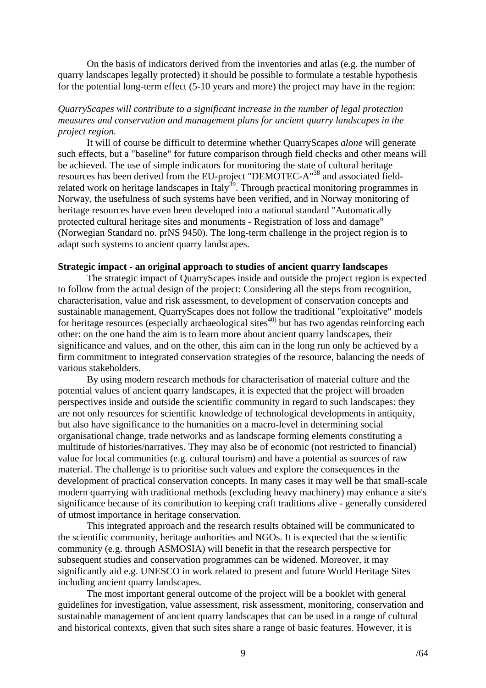<span id="page-8-0"></span>On the basis of indicators derived from the inventories and atlas (e.g. the number of quarry landscapes legally protected) it should be possible to formulate a testable hypothesis for the potential long-term effect (5-10 years and more) the project may have in the region:

#### *QuarryScapes will contribute to a significant increase in the number of legal protection measures and conservation and management plans for ancient quarry landscapes in the project region.*

It will of course be difficult to determine whether QuarryScapes *alone* will generate such effects, but a "baseline" for future comparison through field checks and other means will be achieved. The use of simple indicators for monitoring the state of cultural heritage resources has been derived from the EU-project "DEMOTEC-A"38 and associated fieldrelated work on heritage landscapes in Italy<sup>39</sup>. Through practical monitoring programmes in Norway, the usefulness of such systems have been verified, and in Norway monitoring of heritage resources have even been developed into a national standard "Automatically protected cultural heritage sites and monuments - Registration of loss and damage" (Norwegian Standard no. prNS 9450). The long-term challenge in the project region is to adapt such systems to ancient quarry landscapes.

#### **Strategic impact - an original approach to studies of ancient quarry landscapes**

The strategic impact of QuarryScapes inside and outside the project region is expected to follow from the actual design of the project: Considering all the steps from recognition, characterisation, value and risk assessment, to development of conservation concepts and sustainable management, QuarryScapes does not follow the traditional "exploitative" models for heritage resources (especially archaeological sites $40$ ) but has two agendas reinforcing each other: on the one hand the aim is to learn more about ancient quarry landscapes, their significance and values, and on the other, this aim can in the long run only be achieved by a firm commitment to integrated conservation strategies of the resource, balancing the needs of various stakeholders.

By using modern research methods for characterisation of material culture and the potential values of ancient quarry landscapes, it is expected that the project will broaden perspectives inside and outside the scientific community in regard to such landscapes: they are not only resources for scientific knowledge of technological developments in antiquity, but also have significance to the humanities on a macro-level in determining social organisational change, trade networks and as landscape forming elements constituting a multitude of histories/narratives. They may also be of economic (not restricted to financial) value for local communities (e.g. cultural tourism) and have a potential as sources of raw material. The challenge is to prioritise such values and explore the consequences in the development of practical conservation concepts. In many cases it may well be that small-scale modern quarrying with traditional methods (excluding heavy machinery) may enhance a site's significance because of its contribution to keeping craft traditions alive - generally considered of utmost importance in heritage conservation.

This integrated approach and the research results obtained will be communicated to the scientific community, heritage authorities and NGOs. It is expected that the scientific community (e.g. through ASMOSIA) will benefit in that the research perspective for subsequent studies and conservation programmes can be widened. Moreover, it may significantly aid e.g. UNESCO in work related to present and future World Heritage Sites including ancient quarry landscapes.

The most important general outcome of the project will be a booklet with general guidelines for investigation, value assessment, risk assessment, monitoring, conservation and sustainable management of ancient quarry landscapes that can be used in a range of cultural and historical contexts, given that such sites share a range of basic features. However, it is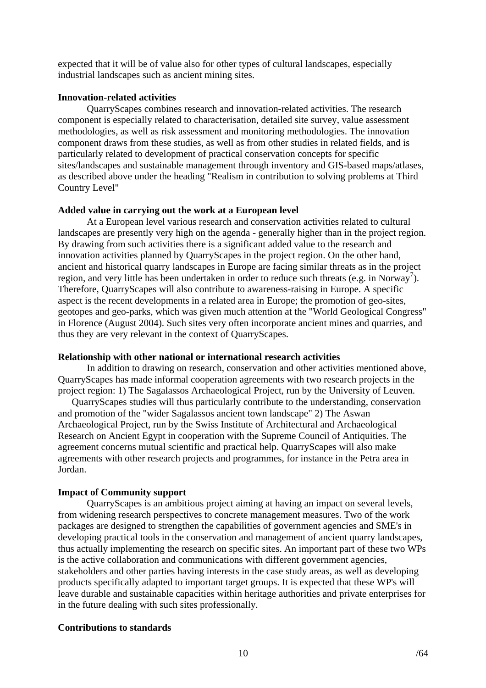<span id="page-9-0"></span>expected that it will be of value also for other types of cultural landscapes, especially industrial landscapes such as ancient mining sites.

### **Innovation-related activities**

QuarryScapes combines research and innovation-related activities. The research component is especially related to characterisation, detailed site survey, value assessment methodologies, as well as risk assessment and monitoring methodologies. The innovation component draws from these studies, as well as from other studies in related fields, and is particularly related to development of practical conservation concepts for specific sites/landscapes and sustainable management through inventory and GIS-based maps/atlases, as described above under the heading "Realism in contribution to solving problems at Third Country Level"

## **Added value in carrying out the work at a European level**

At a European level various research and conservation activities related to cultural landscapes are presently very high on the agenda - generally higher than in the project region. By drawing from such activities there is a significant added value to the research and innovation activities planned by QuarryScapes in the project region. On the other hand, ancient and historical quarry landscapes in Europe are facing similar threats as in the project region, and very little has been undertaken in order to reduce such threats (e.g. in Norway<sup>7</sup>). Therefore, QuarryScapes will also contribute to awareness-raising in Europe. A specific aspect is the recent developments in a related area in Europe; the promotion of geo-sites, geotopes and geo-parks, which was given much attention at the "World Geological Congress" in Florence (August 2004). Such sites very often incorporate ancient mines and quarries, and thus they are very relevant in the context of QuarryScapes.

#### **Relationship with other national or international research activities**

In addition to drawing on research, conservation and other activities mentioned above, QuarryScapes has made informal cooperation agreements with two research projects in the project region: 1) The Sagalassos Archaeological Project, run by the University of Leuven.

QuarryScapes studies will thus particularly contribute to the understanding, conservation and promotion of the "wider Sagalassos ancient town landscape" 2) The Aswan Archaeological Project, run by the Swiss Institute of Architectural and Archaeological Research on Ancient Egypt in cooperation with the Supreme Council of Antiquities. The agreement concerns mutual scientific and practical help. QuarryScapes will also make agreements with other research projects and programmes, for instance in the Petra area in Jordan.

## **Impact of Community support**

QuarryScapes is an ambitious project aiming at having an impact on several levels, from widening research perspectives to concrete management measures. Two of the work packages are designed to strengthen the capabilities of government agencies and SME's in developing practical tools in the conservation and management of ancient quarry landscapes, thus actually implementing the research on specific sites. An important part of these two WPs is the active collaboration and communications with different government agencies, stakeholders and other parties having interests in the case study areas, as well as developing products specifically adapted to important target groups. It is expected that these WP's will leave durable and sustainable capacities within heritage authorities and private enterprises for in the future dealing with such sites professionally.

## **Contributions to standards**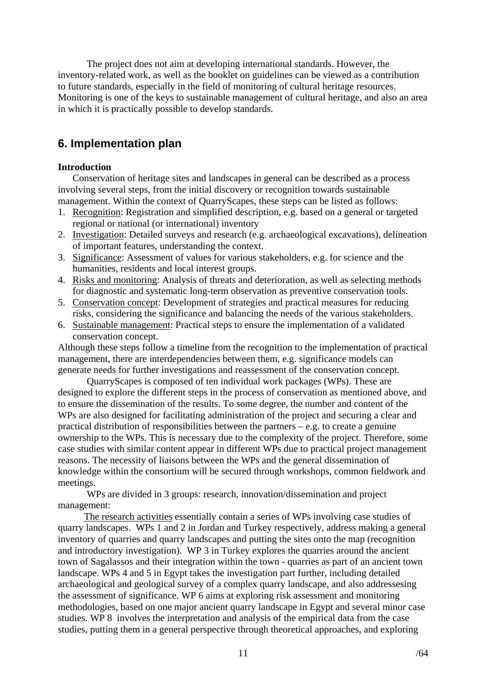<span id="page-10-0"></span>The project does not aim at developing international standards. However, the inventory-related work, as well as the booklet on guidelines can be viewed as a contribution to future standards, especially in the field of monitoring of cultural heritage resources. Monitoring is one of the keys to sustainable management of cultural heritage, and also an area in which it is practically possible to develop standards.

## **6. Implementation plan**

## **Introduction**

Conservation of heritage sites and landscapes in general can be described as a process involving several steps, from the initial discovery or recognition towards sustainable management. Within the context of QuarryScapes, these steps can be listed as follows:

- 1. Recognition: Registration and simplified description, e.g. based on a general or targeted regional or national (or international) inventory
- 2. Investigation: Detailed surveys and research (e.g. archaeological excavations), delineation of important features, understanding the context.
- 3. Significance: Assessment of values for various stakeholders, e.g. for science and the humanities, residents and local interest groups.
- 4. Risks and monitoring: Analysis of threats and deterioration, as well as selecting methods for diagnostic and systematic long-term observation as preventive conservation tools.
- 5. Conservation concept: Development of strategies and practical measures for reducing risks, considering the significance and balancing the needs of the various stakeholders.
- 6. Sustainable management: Practical steps to ensure the implementation of a validated conservation concept.

Although these steps follow a timeline from the recognition to the implementation of practical management, there are interdependencies between them, e.g. significance models can generate needs for further investigations and reassessment of the conservation concept.

QuarryScapes is composed of ten individual work packages (WPs). These are designed to explore the different steps in the process of conservation as mentioned above, and to ensure the dissemination of the results. To some degree, the number and content of the WPs are also designed for facilitating administration of the project and securing a clear and practical distribution of responsibilities between the partners – e.g. to create a genuine ownership to the WPs. This is necessary due to the complexity of the project. Therefore, some case studies with similar content appear in different WPs due to practical project management reasons. The necessity of liaisons between the WPs and the general dissemination of knowledge within the consortium will be secured through workshops, common fieldwork and meetings.

WPs are divided in 3 groups: research, innovation/dissemination and project management:

 The research activities essentially contain a series of WPs involving case studies of quarry landscapes. WPs 1 and 2 in Jordan and Turkey respectively, address making a general inventory of quarries and quarry landscapes and putting the sites onto the map (recognition and introductory investigation). WP 3 in Turkey explores the quarries around the ancient town of Sagalassos and their integration within the town - quarries as part of an ancient town landscape. WPs 4 and 5 in Egypt takes the investigation part further, including detailed archaeological and geological survey of a complex quarry landscape, and also addressesing the assessment of significance. WP 6 aims at exploring risk assessment and monitoring methodologies, based on one major ancient quarry landscape in Egypt and several minor case studies. WP 8 involves the interpretation and analysis of the empirical data from the case studies, putting them in a general perspective through theoretical approaches, and exploring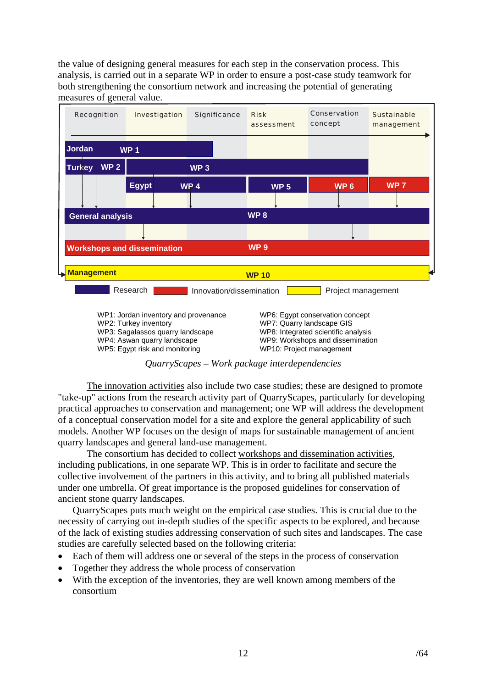the value of designing general measures for each step in the conservation process. This analysis, is carried out in a separate WP in order to ensure a post-case study teamwork for both strengthening the consortium network and increasing the potential of generating measures of general value.



WP3: Sagalassos quarry landscape WP8: Integrated scientific analysis WP4: Aswan quarry landscape WP9: Workshops and dissemination WP5: Egypt risk and monitoring WP10: Project management

## *QuarryScapes – Work package interdependencies*

The innovation activities also include two case studies; these are designed to promote "take-up" actions from the research activity part of QuarryScapes, particularly for developing practical approaches to conservation and management; one WP will address the development of a conceptual conservation model for a site and explore the general applicability of such models. Another WP focuses on the design of maps for sustainable management of ancient quarry landscapes and general land-use management.

The consortium has decided to collect workshops and dissemination activities, including publications, in one separate WP. This is in order to facilitate and secure the collective involvement of the partners in this activity, and to bring all published materials under one umbrella. Of great importance is the proposed guidelines for conservation of ancient stone quarry landscapes.

QuarryScapes puts much weight on the empirical case studies. This is crucial due to the necessity of carrying out in-depth studies of the specific aspects to be explored, and because of the lack of existing studies addressing conservation of such sites and landscapes. The case studies are carefully selected based on the following criteria:

- Each of them will address one or several of the steps in the process of conservation
- Together they address the whole process of conservation
- With the exception of the inventories, they are well known among members of the consortium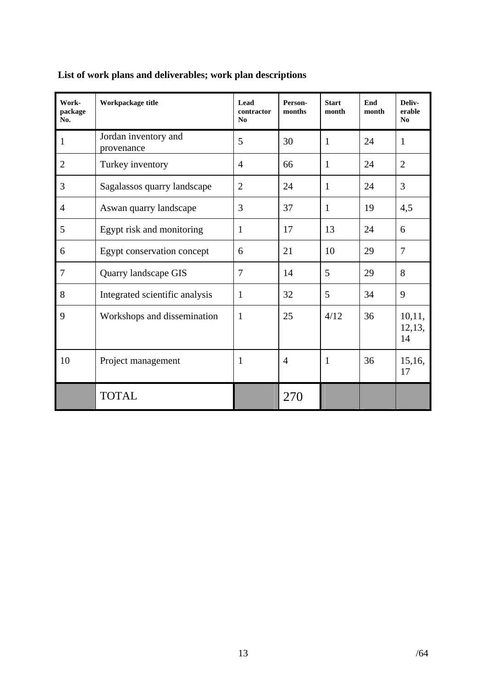| Work-<br>package<br>No. | Workpackage title                  | Lead<br>contractor<br>No | Person-<br>months | <b>Start</b><br>month | End<br>month | Deliv-<br>erable<br>No |
|-------------------------|------------------------------------|--------------------------|-------------------|-----------------------|--------------|------------------------|
| $\mathbf{1}$            | Jordan inventory and<br>provenance | 5                        | 30                | $\mathbf{1}$          | 24           | $\mathbf{1}$           |
| $\overline{2}$          | Turkey inventory                   | $\overline{4}$           | 66                | 1                     | 24           | $\overline{2}$         |
| 3                       | Sagalassos quarry landscape        | $\overline{2}$           | 24                | $\mathbf{1}$          | 24           | 3                      |
| $\overline{4}$          | Aswan quarry landscape             | 3                        | 37                | $\mathbf{1}$          | 19           | 4,5                    |
| 5                       | Egypt risk and monitoring          | 1                        | 17                | 13                    | 24           | 6                      |
| 6                       | Egypt conservation concept         | 6                        | 21                | 10                    | 29           | 7                      |
| $\overline{7}$          | Quarry landscape GIS               | 7                        | 14                | 5                     | 29           | 8                      |
| 8                       | Integrated scientific analysis     | 1                        | 32                | 5                     | 34           | 9                      |
| 9                       | Workshops and dissemination        | 1                        | 25                | 4/12                  | 36           | 10,11,<br>12,13,<br>14 |
| 10                      | Project management                 | 1                        | $\overline{4}$    | $\mathbf{1}$          | 36           | 15,16,<br>17           |
|                         | <b>TOTAL</b>                       |                          | 270               |                       |              |                        |

## <span id="page-12-0"></span>**List of work plans and deliverables; work plan descriptions**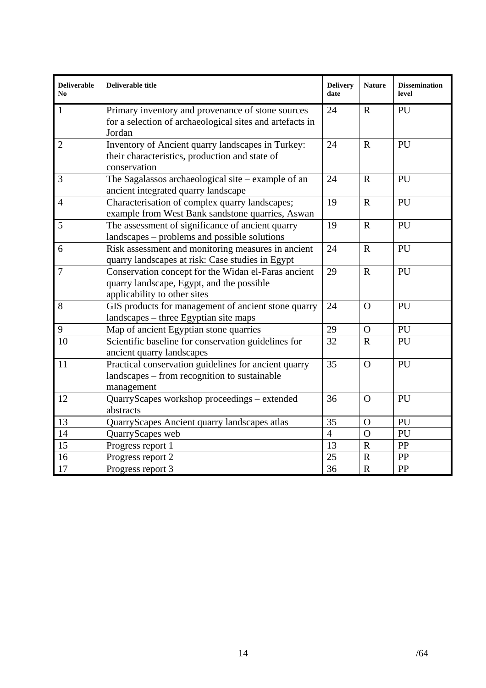| <b>Deliverable</b><br>N <sub>0</sub> | Deliverable title                                                                                                                | <b>Delivery</b><br>date | <b>Nature</b> | <b>Dissemination</b><br>level |
|--------------------------------------|----------------------------------------------------------------------------------------------------------------------------------|-------------------------|---------------|-------------------------------|
| $\mathbf{1}$                         | Primary inventory and provenance of stone sources<br>for a selection of archaeological sites and artefacts in<br>Jordan          | 24                      | $\mathbf R$   | PU                            |
| $\overline{2}$                       | Inventory of Ancient quarry landscapes in Turkey:<br>their characteristics, production and state of<br>conservation              | 24                      | $\mathbf R$   | PU                            |
| 3                                    | The Sagalassos archaeological site $-$ example of an<br>ancient integrated quarry landscape                                      | 24                      | $\mathbf R$   | PU                            |
| $\overline{4}$                       | Characterisation of complex quarry landscapes;<br>example from West Bank sandstone quarries, Aswan                               | 19                      | $\mathbf{R}$  | PU                            |
| 5                                    | The assessment of significance of ancient quarry<br>landscapes – problems and possible solutions                                 | 19                      | $\mathbf R$   | PU                            |
| 6                                    | Risk assessment and monitoring measures in ancient<br>quarry landscapes at risk: Case studies in Egypt                           | 24                      | $\mathbf R$   | PU                            |
| $\overline{7}$                       | Conservation concept for the Widan el-Faras ancient<br>quarry landscape, Egypt, and the possible<br>applicability to other sites | 29                      | $\mathbf R$   | PU                            |
| 8                                    | GIS products for management of ancient stone quarry<br>landscapes – three Egyptian site maps                                     | 24                      | $\Omega$      | PU                            |
| 9                                    | Map of ancient Egyptian stone quarries                                                                                           | 29                      | $\Omega$      | PU                            |
| 10                                   | Scientific baseline for conservation guidelines for<br>ancient quarry landscapes                                                 | 32                      | $\mathbf R$   | PU                            |
| 11                                   | Practical conservation guidelines for ancient quarry<br>landscapes – from recognition to sustainable<br>management               | 35                      | $\Omega$      | PU                            |
| 12                                   | QuarryScapes workshop proceedings - extended<br>abstracts                                                                        | 36                      | $\Omega$      | PU                            |
| 13                                   | QuarryScapes Ancient quarry landscapes atlas                                                                                     | 35                      | $\mathbf O$   | PU                            |
| $\overline{14}$                      | QuarryScapes web                                                                                                                 | $\overline{4}$          | $\Omega$      | PU                            |
| $\overline{15}$                      | Progress report 1                                                                                                                | 13                      | $\mathbf R$   | PP                            |
| 16                                   | Progress report 2                                                                                                                | 25                      | $\mathbf R$   | PP                            |
| 17                                   | Progress report 3                                                                                                                | 36                      | $\mathbf R$   | PP                            |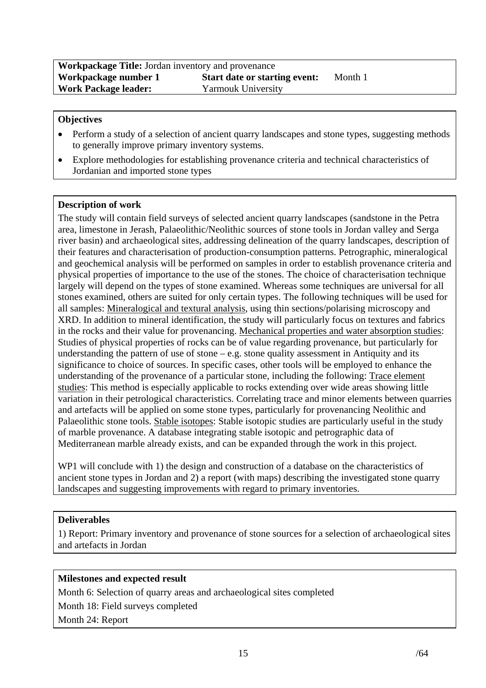| <b>Workpackage Title:</b> Jordan inventory and provenance |                                      |         |  |
|-----------------------------------------------------------|--------------------------------------|---------|--|
| Workpackage number 1                                      | <b>Start date or starting event:</b> | Month 1 |  |
| <b>Work Package leader:</b>                               | <b>Yarmouk University</b>            |         |  |

- Perform a study of a selection of ancient quarry landscapes and stone types, suggesting methods to generally improve primary inventory systems.
- Explore methodologies for establishing provenance criteria and technical characteristics of Jordanian and imported stone types

### **Description of work**

The study will contain field surveys of selected ancient quarry landscapes (sandstone in the Petra area, limestone in Jerash, Palaeolithic/Neolithic sources of stone tools in Jordan valley and Serga river basin) and archaeological sites, addressing delineation of the quarry landscapes, description of their features and characterisation of production-consumption patterns. Petrographic, mineralogical and geochemical analysis will be performed on samples in order to establish provenance criteria and physical properties of importance to the use of the stones. The choice of characterisation technique largely will depend on the types of stone examined. Whereas some techniques are universal for all stones examined, others are suited for only certain types. The following techniques will be used for all samples: Mineralogical and textural analysis, using thin sections/polarising microscopy and XRD. In addition to mineral identification, the study will particularly focus on textures and fabrics in the rocks and their value for provenancing. Mechanical properties and water absorption studies: Studies of physical properties of rocks can be of value regarding provenance, but particularly for understanding the pattern of use of stone  $-e.g.$  stone quality assessment in Antiquity and its significance to choice of sources. In specific cases, other tools will be employed to enhance the understanding of the provenance of a particular stone, including the following: Trace element studies: This method is especially applicable to rocks extending over wide areas showing little variation in their petrological characteristics. Correlating trace and minor elements between quarries and artefacts will be applied on some stone types, particularly for provenancing Neolithic and Palaeolithic stone tools. Stable isotopes: Stable isotopic studies are particularly useful in the study of marble provenance. A database integrating stable isotopic and petrographic data of Mediterranean marble already exists, and can be expanded through the work in this project.

WP1 will conclude with 1) the design and construction of a database on the characteristics of ancient stone types in Jordan and 2) a report (with maps) describing the investigated stone quarry landscapes and suggesting improvements with regard to primary inventories.

#### **Deliverables**

1) Report: Primary inventory and provenance of stone sources for a selection of archaeological sites and artefacts in Jordan

## **Milestones and expected result**

Month 6: Selection of quarry areas and archaeological sites completed Month 18: Field surveys completed

Month 24: Report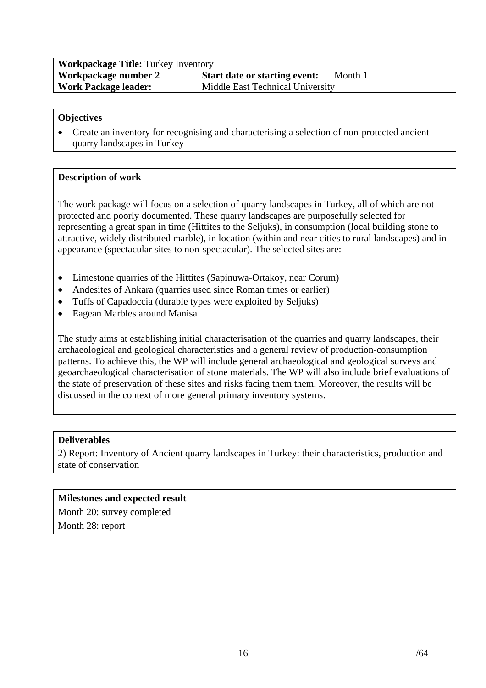## **Workpackage Title:** Turkey Inventory **Workpackage number 2 Start date or starting event:** Month 1<br> **Work Package leader:** Middle East Technical University **Middle East Technical University**

### **Objectives**

• Create an inventory for recognising and characterising a selection of non-protected ancient quarry landscapes in Turkey

### **Description of work**

The work package will focus on a selection of quarry landscapes in Turkey, all of which are not protected and poorly documented. These quarry landscapes are purposefully selected for representing a great span in time (Hittites to the Seljuks), in consumption (local building stone to attractive, widely distributed marble), in location (within and near cities to rural landscapes) and in appearance (spectacular sites to non-spectacular). The selected sites are:

- Limestone quarries of the Hittites (Sapinuwa-Ortakoy, near Corum)
- Andesites of Ankara (quarries used since Roman times or earlier)
- Tuffs of Capadoccia (durable types were exploited by Seljuks)
- Eagean Marbles around Manisa

The study aims at establishing initial characterisation of the quarries and quarry landscapes, their archaeological and geological characteristics and a general review of production-consumption patterns. To achieve this, the WP will include general archaeological and geological surveys and geoarchaeological characterisation of stone materials. The WP will also include brief evaluations of the state of preservation of these sites and risks facing them them. Moreover, the results will be discussed in the context of more general primary inventory systems.

#### **Deliverables**

2) Report: Inventory of Ancient quarry landscapes in Turkey: their characteristics, production and state of conservation

## **Milestones and expected result**

Month 20: survey completed

Month 28: report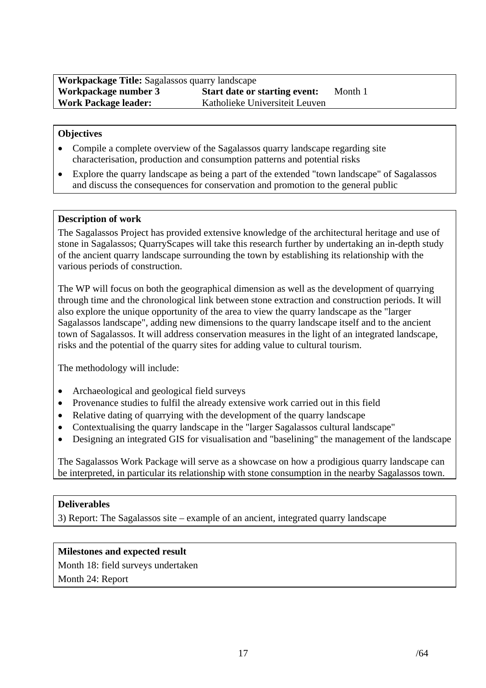- Compile a complete overview of the Sagalassos quarry landscape regarding site characterisation, production and consumption patterns and potential risks
- Explore the quarry landscape as being a part of the extended "town landscape" of Sagalassos and discuss the consequences for conservation and promotion to the general public

### **Description of work**

The Sagalassos Project has provided extensive knowledge of the architectural heritage and use of stone in Sagalassos; QuarryScapes will take this research further by undertaking an in-depth study of the ancient quarry landscape surrounding the town by establishing its relationship with the various periods of construction.

The WP will focus on both the geographical dimension as well as the development of quarrying through time and the chronological link between stone extraction and construction periods. It will also explore the unique opportunity of the area to view the quarry landscape as the "larger Sagalassos landscape", adding new dimensions to the quarry landscape itself and to the ancient town of Sagalassos. It will address conservation measures in the light of an integrated landscape, risks and the potential of the quarry sites for adding value to cultural tourism.

The methodology will include:

- Archaeological and geological field surveys
- Provenance studies to fulfil the already extensive work carried out in this field
- Relative dating of quarrying with the development of the quarry landscape
- Contextualising the quarry landscape in the "larger Sagalassos cultural landscape"
- Designing an integrated GIS for visualisation and "baselining" the management of the landscape

The Sagalassos Work Package will serve as a showcase on how a prodigious quarry landscape can be interpreted, in particular its relationship with stone consumption in the nearby Sagalassos town.

#### **Deliverables**

3) Report: The Sagalassos site – example of an ancient, integrated quarry landscape

#### **Milestones and expected result**

Month 18: field surveys undertaken Month 24: Report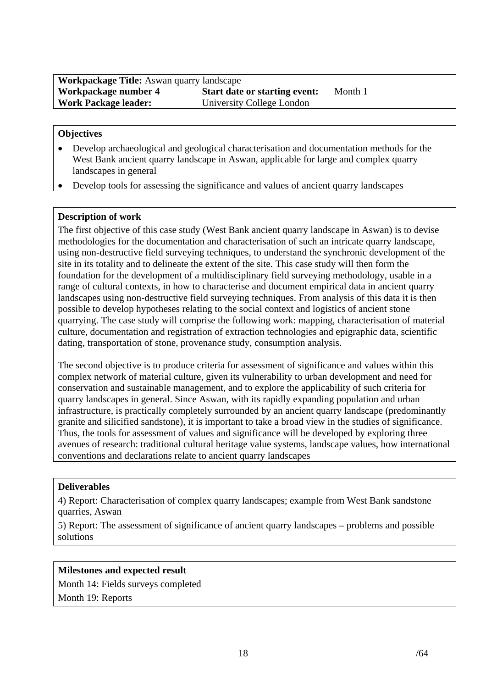| <b>Workpackage Title:</b> Aswan quarry landscape |                                      |         |  |  |
|--------------------------------------------------|--------------------------------------|---------|--|--|
| Workpackage number 4                             | <b>Start date or starting event:</b> | Month 1 |  |  |
| <b>Work Package leader:</b>                      | University College London            |         |  |  |

- Develop archaeological and geological characterisation and documentation methods for the West Bank ancient quarry landscape in Aswan, applicable for large and complex quarry landscapes in general
- Develop tools for assessing the significance and values of ancient quarry landscapes

## **Description of work**

The first objective of this case study (West Bank ancient quarry landscape in Aswan) is to devise methodologies for the documentation and characterisation of such an intricate quarry landscape, using non-destructive field surveying techniques, to understand the synchronic development of the site in its totality and to delineate the extent of the site. This case study will then form the foundation for the development of a multidisciplinary field surveying methodology, usable in a range of cultural contexts, in how to characterise and document empirical data in ancient quarry landscapes using non-destructive field surveying techniques. From analysis of this data it is then possible to develop hypotheses relating to the social context and logistics of ancient stone quarrying. The case study will comprise the following work: mapping, characterisation of material culture, documentation and registration of extraction technologies and epigraphic data, scientific dating, transportation of stone, provenance study, consumption analysis.

The second objective is to produce criteria for assessment of significance and values within this complex network of material culture, given its vulnerability to urban development and need for conservation and sustainable management, and to explore the applicability of such criteria for quarry landscapes in general. Since Aswan, with its rapidly expanding population and urban infrastructure, is practically completely surrounded by an ancient quarry landscape (predominantly granite and silicified sandstone), it is important to take a broad view in the studies of significance. Thus, the tools for assessment of values and significance will be developed by exploring three avenues of research: traditional cultural heritage value systems, landscape values, how international conventions and declarations relate to ancient quarry landscapes

#### **Deliverables**

4) Report: Characterisation of complex quarry landscapes; example from West Bank sandstone quarries, Aswan

5) Report: The assessment of significance of ancient quarry landscapes – problems and possible solutions

## **Milestones and expected result**

Month 14: Fields surveys completed Month 19: Reports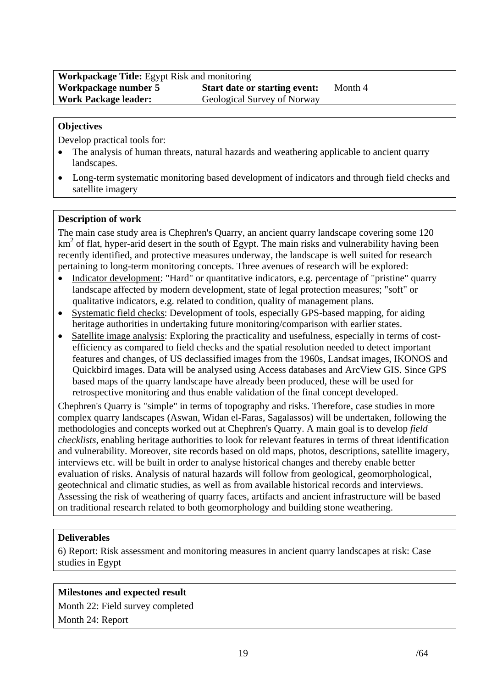Develop practical tools for:

- The analysis of human threats, natural hazards and weathering applicable to ancient quarry landscapes.
- Long-term systematic monitoring based development of indicators and through field checks and satellite imagery

## **Description of work**

The main case study area is Chephren's Quarry, an ancient quarry landscape covering some 120 km<sup>2</sup> of flat, hyper-arid desert in the south of Egypt. The main risks and vulnerability having been recently identified, and protective measures underway, the landscape is well suited for research pertaining to long-term monitoring concepts. Three avenues of research will be explored:

- Indicator development: "Hard" or quantitative indicators, e.g. percentage of "pristine" quarry landscape affected by modern development, state of legal protection measures; "soft" or qualitative indicators, e.g. related to condition, quality of management plans.
- Systematic field checks: Development of tools, especially GPS-based mapping, for aiding heritage authorities in undertaking future monitoring/comparison with earlier states.
- Satellite image analysis: Exploring the practicality and usefulness, especially in terms of costefficiency as compared to field checks and the spatial resolution needed to detect important features and changes, of US declassified images from the 1960s, Landsat images, IKONOS and Quickbird images. Data will be analysed using Access databases and ArcView GIS. Since GPS based maps of the quarry landscape have already been produced, these will be used for retrospective monitoring and thus enable validation of the final concept developed.

Chephren's Quarry is "simple" in terms of topography and risks. Therefore, case studies in more complex quarry landscapes (Aswan, Widan el-Faras, Sagalassos) will be undertaken, following the methodologies and concepts worked out at Chephren's Quarry. A main goal is to develop *field checklists*, enabling heritage authorities to look for relevant features in terms of threat identification and vulnerability. Moreover, site records based on old maps, photos, descriptions, satellite imagery, interviews etc. will be built in order to analyse historical changes and thereby enable better evaluation of risks. Analysis of natural hazards will follow from geological, geomorphological, geotechnical and climatic studies, as well as from available historical records and interviews. Assessing the risk of weathering of quarry faces, artifacts and ancient infrastructure will be based on traditional research related to both geomorphology and building stone weathering.

## **Deliverables**

6) Report: Risk assessment and monitoring measures in ancient quarry landscapes at risk: Case studies in Egypt

## **Milestones and expected result**

Month 22: Field survey completed Month 24: Report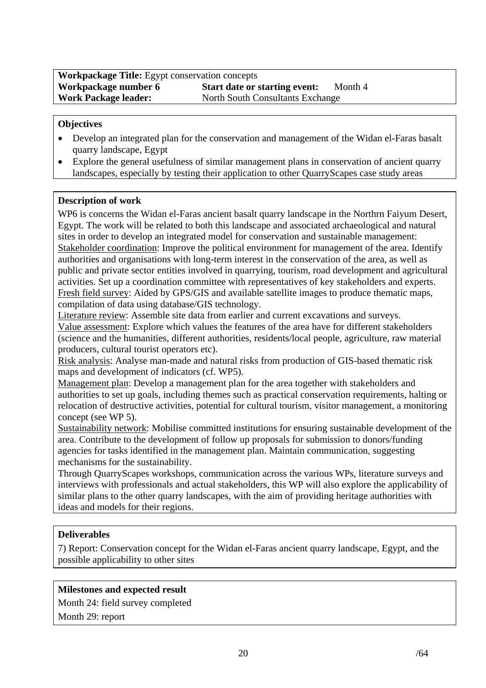- Develop an integrated plan for the conservation and management of the Widan el-Faras basalt quarry landscape, Egypt
- Explore the general usefulness of similar management plans in conservation of ancient quarry landscapes, especially by testing their application to other QuarryScapes case study areas

## **Description of work**

WP6 is concerns the Widan el-Faras ancient basalt quarry landscape in the Northrn Faiyum Desert, Egypt. The work will be related to both this landscape and associated archaeological and natural sites in order to develop an integrated model for conservation and sustainable management: Stakeholder coordination: Improve the political environment for management of the area. Identify authorities and organisations with long-term interest in the conservation of the area, as well as public and private sector entities involved in quarrying, tourism, road development and agricultural activities. Set up a coordination committee with representatives of key stakeholders and experts. Fresh field survey: Aided by GPS/GIS and available satellite images to produce thematic maps, compilation of data using database/GIS technology.

Literature review: Assemble site data from earlier and current excavations and surveys. Value assessment: Explore which values the features of the area have for different stakeholders (science and the humanities, different authorities, residents/local people, agriculture, raw material producers, cultural tourist operators etc).

Risk analysis: Analyse man-made and natural risks from production of GIS-based thematic risk maps and development of indicators (cf. WP5).

Management plan: Develop a management plan for the area together with stakeholders and authorities to set up goals, including themes such as practical conservation requirements, halting or relocation of destructive activities, potential for cultural tourism, visitor management, a monitoring concept (see WP 5).

Sustainability network: Mobilise committed institutions for ensuring sustainable development of the area. Contribute to the development of follow up proposals for submission to donors/funding agencies for tasks identified in the management plan. Maintain communication, suggesting mechanisms for the sustainability.

Through QuarryScapes workshops, communication across the various WPs, literature surveys and interviews with professionals and actual stakeholders, this WP will also explore the applicability of similar plans to the other quarry landscapes, with the aim of providing heritage authorities with ideas and models for their regions.

## **Deliverables**

7) Report: Conservation concept for the Widan el-Faras ancient quarry landscape, Egypt, and the possible applicability to other sites

## **Milestones and expected result**

Month 24: field survey completed

Month 29: report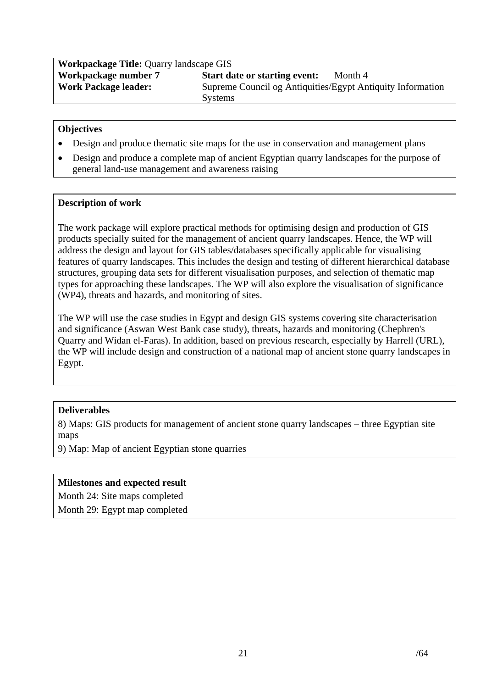| <b>Workpackage Title: Quarry landscape GIS</b> |                                                            |  |  |  |
|------------------------------------------------|------------------------------------------------------------|--|--|--|
| Workpackage number 7                           | <b>Start date or starting event:</b><br>Month 4            |  |  |  |
| <b>Work Package leader:</b>                    | Supreme Council og Antiquities/Egypt Antiquity Information |  |  |  |
|                                                | <b>Systems</b>                                             |  |  |  |

- Design and produce thematic site maps for the use in conservation and management plans
- Design and produce a complete map of ancient Egyptian quarry landscapes for the purpose of general land-use management and awareness raising

### **Description of work**

The work package will explore practical methods for optimising design and production of GIS products specially suited for the management of ancient quarry landscapes. Hence, the WP will address the design and layout for GIS tables/databases specifically applicable for visualising features of quarry landscapes. This includes the design and testing of different hierarchical database structures, grouping data sets for different visualisation purposes, and selection of thematic map types for approaching these landscapes. The WP will also explore the visualisation of significance (WP4), threats and hazards, and monitoring of sites.

The WP will use the case studies in Egypt and design GIS systems covering site characterisation and significance (Aswan West Bank case study), threats, hazards and monitoring (Chephren's Quarry and Widan el-Faras). In addition, based on previous research, especially by Harrell (URL), the WP will include design and construction of a national map of ancient stone quarry landscapes in Egypt.

## **Deliverables**

8) Maps: GIS products for management of ancient stone quarry landscapes – three Egyptian site maps

9) Map: Map of ancient Egyptian stone quarries

#### **Milestones and expected result**

Month 24: Site maps completed

Month 29: Egypt map completed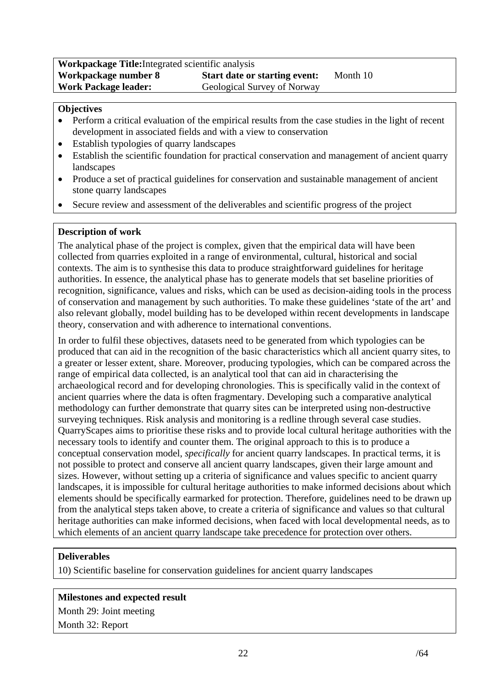| <b>Workpackage Title:</b> Integrated scientific analysis |                                      |          |  |  |
|----------------------------------------------------------|--------------------------------------|----------|--|--|
| Workpackage number 8                                     | <b>Start date or starting event:</b> | Month 10 |  |  |
| <b>Work Package leader:</b>                              | Geological Survey of Norway          |          |  |  |

- Perform a critical evaluation of the empirical results from the case studies in the light of recent development in associated fields and with a view to conservation
- Establish typologies of quarry landscapes
- Establish the scientific foundation for practical conservation and management of ancient quarry landscapes
- Produce a set of practical guidelines for conservation and sustainable management of ancient stone quarry landscapes
- Secure review and assessment of the deliverables and scientific progress of the project

## **Description of work**

The analytical phase of the project is complex, given that the empirical data will have been collected from quarries exploited in a range of environmental, cultural, historical and social contexts. The aim is to synthesise this data to produce straightforward guidelines for heritage authorities. In essence, the analytical phase has to generate models that set baseline priorities of recognition, significance, values and risks, which can be used as decision-aiding tools in the process of conservation and management by such authorities. To make these guidelines 'state of the art' and also relevant globally, model building has to be developed within recent developments in landscape theory, conservation and with adherence to international conventions.

In order to fulfil these objectives, datasets need to be generated from which typologies can be produced that can aid in the recognition of the basic characteristics which all ancient quarry sites, to a greater or lesser extent, share. Moreover, producing typologies, which can be compared across the range of empirical data collected, is an analytical tool that can aid in characterising the archaeological record and for developing chronologies. This is specifically valid in the context of ancient quarries where the data is often fragmentary. Developing such a comparative analytical methodology can further demonstrate that quarry sites can be interpreted using non-destructive surveying techniques. Risk analysis and monitoring is a redline through several case studies. QuarryScapes aims to prioritise these risks and to provide local cultural heritage authorities with the necessary tools to identify and counter them. The original approach to this is to produce a conceptual conservation model, *specifically* for ancient quarry landscapes. In practical terms, it is not possible to protect and conserve all ancient quarry landscapes, given their large amount and sizes. However, without setting up a criteria of significance and values specific to ancient quarry landscapes, it is impossible for cultural heritage authorities to make informed decisions about which elements should be specifically earmarked for protection. Therefore, guidelines need to be drawn up from the analytical steps taken above, to create a criteria of significance and values so that cultural heritage authorities can make informed decisions, when faced with local developmental needs, as to which elements of an ancient quarry landscape take precedence for protection over others.

## **Deliverables**

10) Scientific baseline for conservation guidelines for ancient quarry landscapes

#### **Milestones and expected result**

Month 29: Joint meeting Month 32: Report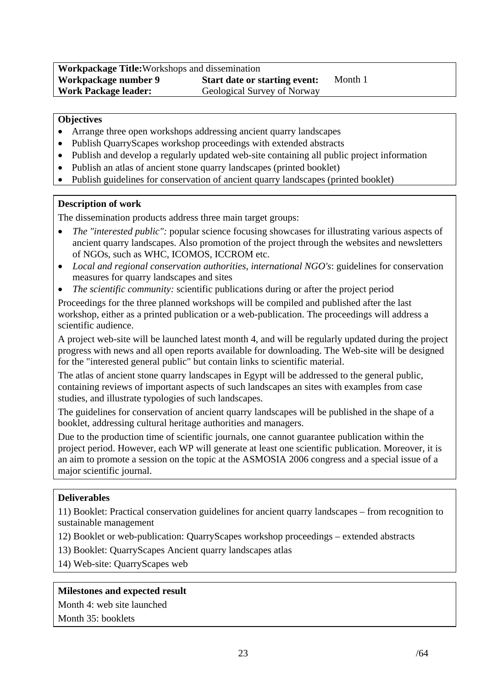| <b>Workpackage Title:</b> Workshops and dissemination |                                      |         |  |  |
|-------------------------------------------------------|--------------------------------------|---------|--|--|
| Workpackage number 9                                  | <b>Start date or starting event:</b> | Month 1 |  |  |
| <b>Work Package leader:</b>                           | Geological Survey of Norway          |         |  |  |

- Arrange three open workshops addressing ancient quarry landscapes
- Publish QuarryScapes workshop proceedings with extended abstracts
- Publish and develop a regularly updated web-site containing all public project information
- Publish an atlas of ancient stone quarry landscapes (printed booklet)
- Publish guidelines for conservation of ancient quarry landscapes (printed booklet)

### **Description of work**

The dissemination products address three main target groups:

- *The "interested public":* popular science focusing showcases for illustrating various aspects of ancient quarry landscapes. Also promotion of the project through the websites and newsletters of NGOs, such as WHC, ICOMOS, ICCROM etc.
- *Local and regional conservation authorities, international NGO's*: guidelines for conservation measures for quarry landscapes and sites
- *The scientific community:* scientific publications during or after the project period

Proceedings for the three planned workshops will be compiled and published after the last workshop, either as a printed publication or a web-publication. The proceedings will address a scientific audience.

A project web-site will be launched latest month 4, and will be regularly updated during the project progress with news and all open reports available for downloading. The Web-site will be designed for the "interested general public" but contain links to scientific material.

The atlas of ancient stone quarry landscapes in Egypt will be addressed to the general public, containing reviews of important aspects of such landscapes an sites with examples from case studies, and illustrate typologies of such landscapes.

The guidelines for conservation of ancient quarry landscapes will be published in the shape of a booklet, addressing cultural heritage authorities and managers.

Due to the production time of scientific journals, one cannot guarantee publication within the project period. However, each WP will generate at least one scientific publication. Moreover, it is an aim to promote a session on the topic at the ASMOSIA 2006 congress and a special issue of a major scientific journal.

#### **Deliverables**

11) Booklet: Practical conservation guidelines for ancient quarry landscapes – from recognition to sustainable management

- 12) Booklet or web-publication: QuarryScapes workshop proceedings extended abstracts
- 13) Booklet: QuarryScapes Ancient quarry landscapes atlas
- 14) Web-site: QuarryScapes web

#### **Milestones and expected result**

Month 4: web site launched

Month 35: booklets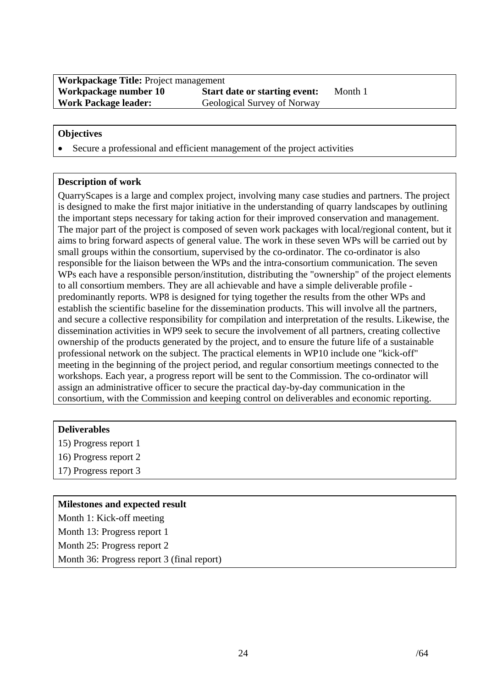• Secure a professional and efficient management of the project activities

#### **Description of work**

QuarryScapes is a large and complex project, involving many case studies and partners. The project is designed to make the first major initiative in the understanding of quarry landscapes by outlining the important steps necessary for taking action for their improved conservation and management. The major part of the project is composed of seven work packages with local/regional content, but it aims to bring forward aspects of general value. The work in these seven WPs will be carried out by small groups within the consortium, supervised by the co-ordinator. The co-ordinator is also responsible for the liaison between the WPs and the intra-consortium communication. The seven WPs each have a responsible person/institution, distributing the "ownership" of the project elements to all consortium members. They are all achievable and have a simple deliverable profile predominantly reports. WP8 is designed for tying together the results from the other WPs and establish the scientific baseline for the dissemination products. This will involve all the partners, and secure a collective responsibility for compilation and interpretation of the results. Likewise, the dissemination activities in WP9 seek to secure the involvement of all partners, creating collective ownership of the products generated by the project, and to ensure the future life of a sustainable professional network on the subject. The practical elements in WP10 include one "kick-off" meeting in the beginning of the project period, and regular consortium meetings connected to the workshops. Each year, a progress report will be sent to the Commission. The co-ordinator will assign an administrative officer to secure the practical day-by-day communication in the consortium, with the Commission and keeping control on deliverables and economic reporting.

- **Deliverables**
- 15) Progress report 1
- 16) Progress report 2
- 17) Progress report 3

#### **Milestones and expected result**

Month 1: Kick-off meeting Month 13: Progress report 1 Month 25: Progress report 2 Month 36: Progress report 3 (final report)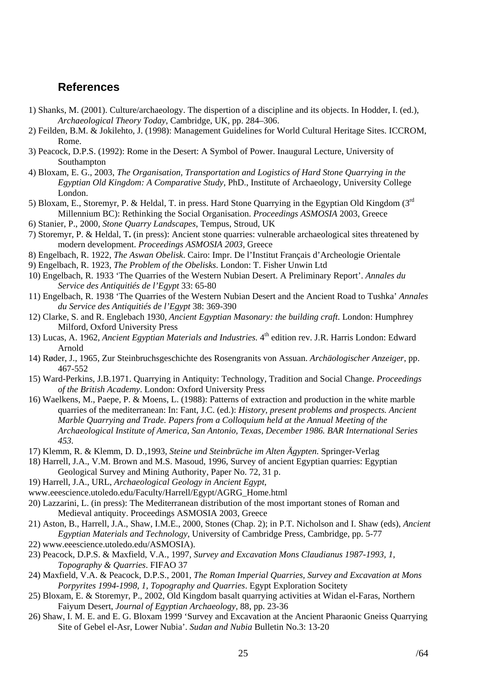## <span id="page-24-0"></span>**References**

- 1) Shanks, M. (2001). Culture/archaeology. The dispertion of a discipline and its objects. In Hodder, I. (ed.), *Archaeological Theory Today*, Cambridge, UK, pp. 284–306.
- 2) Feilden, B.M. & Jokilehto, J. (1998): Management Guidelines for World Cultural Heritage Sites. ICCROM, Rome.
- 3) Peacock, D.P.S. (1992): Rome in the Desert: A Symbol of Power. Inaugural Lecture, University of Southampton
- 4) Bloxam, E. G., 2003, *The Organisation, Transportation and Logistics of Hard Stone Quarrying in the Egyptian Old Kingdom: A Comparative Study,* PhD., Institute of Archaeology, University College London.
- 5) Bloxam, E., Storemyr, P. & Heldal, T. in press. Hard Stone Quarrying in the Egyptian Old Kingdom (3rd Millennium BC): Rethinking the Social Organisation. *Proceedings ASMOSIA* 2003, Greece
- 6) Stanier, P., 2000, *Stone Quarry Landscapes*, Tempus, Stroud, UK
- 7) Storemyr, P. & Heldal, T**.** (in press): Ancient stone quarries: vulnerable archaeological sites threatened by modern development. *Proceedings ASMOSIA 2003*, Greece
- 8) Engelbach, R. 1922, *The Aswan Obelisk*. Cairo: Impr. De l'Institut Français d'Archeologie Orientale
- 9) Engelbach, R. 1923, *The Problem of the Obelisks*. London: T. Fisher Unwin Ltd
- 10) Engelbach, R. 1933 'The Quarries of the Western Nubian Desert. A Preliminary Report'. *Annales du Service des Antiquitiés de l'Egypt* 33: 65-80
- 11) Engelbach, R. 1938 'The Quarries of the Western Nubian Desert and the Ancient Road to Tushka' *Annales du Service des Antiquitiés de l'Egypt* 38: 369-390
- 12) Clarke, S. and R. Englebach 1930, *Ancient Egyptian Masonary: the building craft*. London: Humphrey Milford, Oxford University Press
- 13) Lucas, A. 1962, *Ancient Egyptian Materials and Industries.* 4th edition rev. J.R. Harris London: Edward Arnold
- 14) Røder, J., 1965, Zur Steinbruchsgeschichte des Rosengranits von Assuan. *Archäologischer Anzeiger*, pp. 467-552
- 15) Ward-Perkins, J.B.1971. Quarrying in Antiquity: Technology, Tradition and Social Change. *Proceedings of the British Academy*. London: Oxford University Press
- 16) Waelkens, M., Paepe, P. & Moens, L. (1988): Patterns of extraction and production in the white marble quarries of the mediterranean: In: Fant, J.C. (ed.): *History, present problems and prospects. Ancient Marble Quarrying and Trade. Papers from a Colloquium held at the Annual Meeting of the Archaeological Institute of America, San Antonio, Texas, December 1986. BAR International Series 453.*
- 17) Klemm, R. & Klemm, D. D.,1993, *Steine und Steinbrüche im Alten Ägypten*. Springer-Verlag
- 18) Harrell, J.A., V.M. Brown and M.S. Masoud, 1996, Survey of ancient Egyptian quarries: Egyptian Geological Survey and Mining Authority, Paper No. 72, 31 p.
- 19) Harrell, J.A., URL, *Archaeological Geology in Ancient Egypt*,
- [www.eeescience.utoledo.edu/Faculty/Harrell/Egypt/AGRG\\_Home.html](http://www.eeescience.utoledo.edu/)
- 20) Lazzarini, L. (in press): The Mediterranean distribution of the most important stones of Roman and Medieval antiquity. Proceedings ASMOSIA 2003, Greece
- 21) Aston, B., Harrell, J.A., Shaw, I.M.E., 2000, Stones (Chap. 2); in P.T. Nicholson and I. Shaw (eds), *Ancient Egyptian Materials and Technology*, University of Cambridge Press, Cambridge, pp. 5-77
- 22) www.eeescience.utoledo.edu/ASMOSIA).
- 23) Peacock, D.P.S. & Maxfield, V.A., 1997*, Survey and Excavation Mons Claudianus 1987-1993, 1, Topography & Quarries*. FIFAO 37
- 24) Maxfield, V.A. & Peacock, D.P.S., 2001, *The Roman Imperial Quarries, Survey and Excavation at Mons Porpyrites 1994-1998, 1, Topography and Quarries*. Egypt Exploration Socitety
- 25) Bloxam, E. & Storemyr, P., 2002, Old Kingdom basalt quarrying activities at Widan el-Faras, Northern Faiyum Desert, *Journal of Egyptian Archaeology,* 88, pp. 23-36
- 26) Shaw, I. M. E. and E. G. Bloxam 1999 'Survey and Excavation at the Ancient Pharaonic Gneiss Quarrying Site of Gebel el-Asr, Lower Nubia'. *Sudan and Nubia* Bulletin No.3: 13-20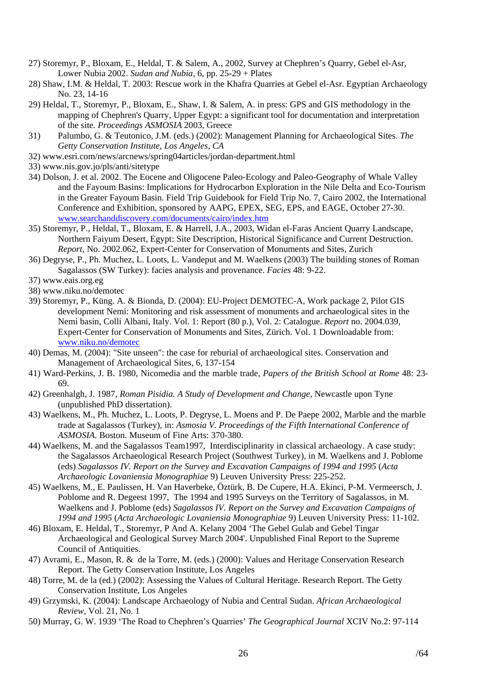- 27) Storemyr, P., Bloxam, E., Heldal, T. & Salem, A., 2002, Survey at Chephren's Quarry, Gebel el-Asr, Lower Nubia 2002. *Sudan and Nubia,* 6, pp. 25-29 + Plates
- 28) Shaw, I.M. & Heldal, T. 2003: Rescue work in the Khafra Quarries at Gebel el-Asr. Egyptian Archaeology No. 23, 14-16
- 29) Heldal, T., Storemyr, P., Bloxam, E., Shaw, I. & Salem, A. in press: GPS and GIS methodology in the mapping of Chephren's Quarry, Upper Egypt: a significant tool for documentation and interpretation of the site*. Proceedings ASMOSIA* 2003, Greece
- 31) Palumbo, G. & Teutonico, J.M. (eds.) (2002): Management Planning for Archaeological Sites. *The Getty Conservation Institute, Los Angeles, CA*
- 32) www.esri.com/news/arcnews/spring04articles/jordan-department.html
- 33) [www.nis.gov.jo/pls/anti/sitetype](http://www.nis.gov.jo/pls/anti/sitetype)
- 34) Dolson, J. et al. 2002. The Eocene and Oligocene Paleo-Ecology and Paleo-Geography of Whale Valley and the Fayoum Basins: Implications for Hydrocarbon Exploration in the Nile Delta and Eco-Tourism in the Greater Fayoum Basin. Field Trip Guidebook for Field Trip No. 7, Cairo 2002, the International Conference and Exhibition, sponsored by AAPG, EPEX, SEG, EPS, and EAGE, October 27-30. [www.searchanddiscovery.com/documents/cairo/index.htm](http://www.searchanddiscovery.com/documents/cairo/index.htm)
- 35) Storemyr, P., Heldal, T., Bloxam, E. & Harrell, J.A., 2003, Widan el-Faras Ancient Quarry Landscape, Northern Faiyum Desert, Egypt: Site Description, Historical Significance and Current Destruction. *Report*, No. 2002.062, Expert-Center for Conservation of Monuments and Sites, Zurich
- 36) Degryse, P., Ph. Muchez, L. Loots, L. Vandeput and M. Waelkens (2003) The building stones of Roman Sagalassos (SW Turkey): facies analysis and provenance. *Facies* 48: 9-22.
- 37) [www.eais.org.eg](http://www.eais.org.eg/)
- 38) www.niku.no/demotec
- 39) Storemyr, P., Küng. A. & Bionda, D. (2004): EU-Project DEMOTEC-A, Work package 2, Pilot GIS development Nemi: Monitoring and risk assessment of monuments and archaeological sites in the Nemi basin, Colli Albani, Italy. Vol. 1: Report (80 p.), Vol. 2: Catalogue. *Report* no. 2004.039, Expert-Center for Conservation of Monuments and Sites, Zürich. Vol. 1 Downloadable from: [www.niku.no/demotec](http://www.niku.no/demotec)
- 40) Demas, M. (2004): "Site unseen": the case for reburial of archaeological sites. Conservation and Management of Archaeological Sites, 6, 137-154
- 41) Ward-Perkins, J. B. 1980, Nicomedia and the marble trade, *Papers of the British School at Rome* 48: 23- 69.
- 42) Greenhalgh, J. 1987, *Roman Pisidia. A Study of Development and Change*, Newcastle upon Tyne (unpublished PhD dissertation).
- 43) Waelkens, M., Ph. Muchez, L. Loots, P. Degryse, L. Moens and P. De Paepe 2002, Marble and the marble trade at Sagalassos (Turkey), in: *Asmosia V. Proceedings of the Fifth International Conference of ASMOSIA.* Boston. Museum of Fine Arts: 370-380.
- 44) Waelkens, M. and the Sagalassos Team1997, Interdisciplinarity in classical archaeology. A case study: the Sagalassos Archaeological Research Project (Southwest Turkey), in M. Waelkens and J. Poblome (eds) *Sagalassos IV. Report on the Survey and Excavation Campaigns of 1994 and 1995* (*Acta Archaeologic Lovaniensia Monographiae* 9) Leuven University Press: 225-252.
- 45) Waelkens, M., E. Paulissen, H. Van Haverbeke, Öztürk, B. De Cupere, H.A. Ekinci, P-M. Vermeersch, J. Poblome and R. Degeest 1997, The 1994 and 1995 Surveys on the Territory of Sagalassos, in M. Waelkens and J. Poblome (eds) *Sagalassos IV. Report on the Survey and Excavation Campaigns of 1994 and 1995* (*Acta Archaeologic Lovaniensia Monographiae* 9) Leuven University Press: 11-102.
- 46) Bloxam, E. Heldal, T., Storemyr, P And A. Kelany 2004 'The Gebel Gulab and Gebel Tingar Archaeological and Geological Survey March 2004'. Unpublished Final Report to the Supreme Council of Antiquities.
- 47) Avrami, E., Mason, R. & de la Torre, M. (eds.) (2000): Values and Heritage Conservation Research Report. The Getty Conservation Institute, Los Angeles
- 48) Torre, M. de la (ed.) (2002): Assessing the Values of Cultural Heritage. Research Report. The Getty Conservation Institute, Los Angeles
- 49) Grzymski, K. (2004): Landscape Archaeology of Nubia and Central Sudan. *African Archaeological Review,* Vol. 21, No. 1
- 50) Murray, G. W. 1939 'The Road to Chephren's Quarries' *The Geographical Journal* XCIV No.2: 97-114